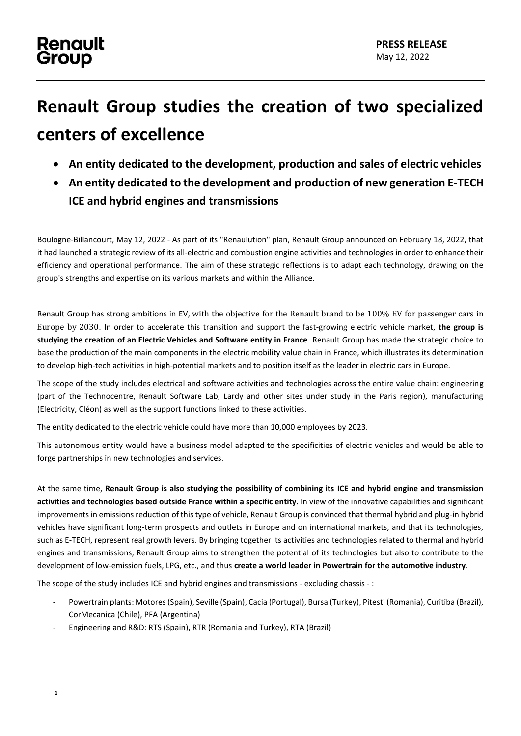## **Renault** Group

## **Renault Group studies the creation of two specialized centers of excellence**

- **An entity dedicated to the development, production and sales of electric vehicles**
- **An entity dedicated to the development and production of new generation E-TECH ICE and hybrid engines and transmissions**

Boulogne-Billancourt, May 12, 2022 - As part of its "Renaulution" plan, Renault Group announced on February 18, 2022, that it had launched a strategic review of its all-electric and combustion engine activities and technologies in order to enhance their efficiency and operational performance. The aim of these strategic reflections is to adapt each technology, drawing on the group's strengths and expertise on its various markets and within the Alliance.

Renault Group has strong ambitions in EV, with the objective for the Renault brand to be 100% EV for passenger cars in Europe by 2030. In order to accelerate this transition and support the fast-growing electric vehicle market, **the group is studying the creation of an Electric Vehicles and Software entity in France**. Renault Group has made the strategic choice to base the production of the main components in the electric mobility value chain in France, which illustrates its determination to develop high-tech activities in high-potential markets and to position itself as the leader in electric cars in Europe.

The scope of the study includes electrical and software activities and technologies across the entire value chain: engineering (part of the Technocentre, Renault Software Lab, Lardy and other sites under study in the Paris region), manufacturing (Electricity, Cléon) as well as the support functions linked to these activities.

The entity dedicated to the electric vehicle could have more than 10,000 employees by 2023.

This autonomous entity would have a business model adapted to the specificities of electric vehicles and would be able to forge partnerships in new technologies and services.

At the same time, **Renault Group is also studying the possibility of combining its ICE and hybrid engine and transmission activities and technologies based outside France within a specific entity.** In view of the innovative capabilities and significant improvements in emissions reduction of this type of vehicle, Renault Group is convinced that thermal hybrid and plug-in hybrid vehicles have significant long-term prospects and outlets in Europe and on international markets, and that its technologies, such as E-TECH, represent real growth levers. By bringing together its activities and technologies related to thermal and hybrid engines and transmissions, Renault Group aims to strengthen the potential of its technologies but also to contribute to the development of low-emission fuels, LPG, etc., and thus **create a world leader in Powertrain for the automotive industry**.

The scope of the study includes ICE and hybrid engines and transmissions - excluding chassis - :

- Powertrain plants: Motores (Spain), Seville (Spain), Cacia (Portugal), Bursa (Turkey), Pitesti (Romania), Curitiba (Brazil), CorMecanica (Chile), PFA (Argentina)
- Engineering and R&D: RTS (Spain), RTR (Romania and Turkey), RTA (Brazil)